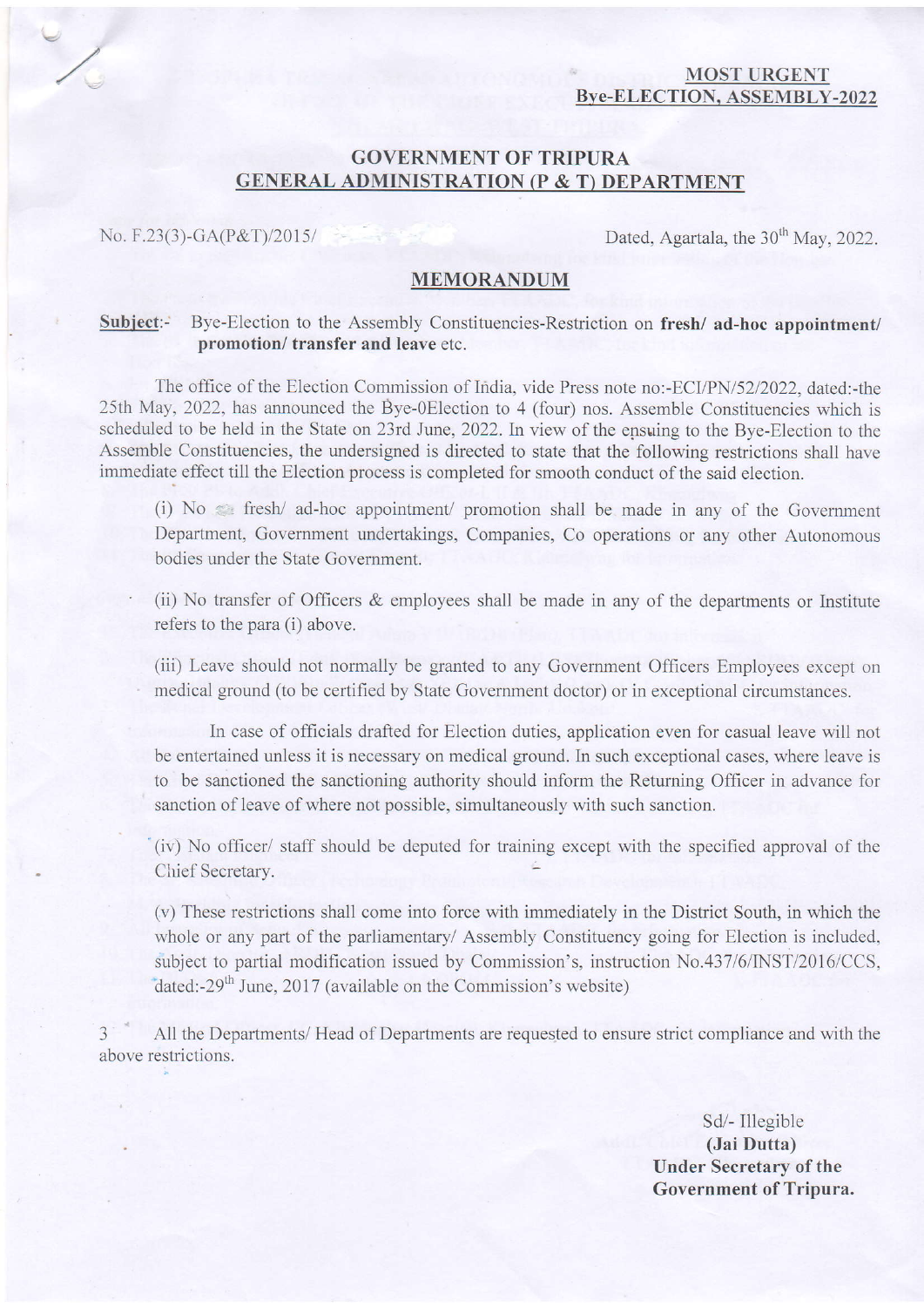#### MOST URGENT Bve-ELECTION. ASSEMBLY-2022

# GOVERNMENT OF TRIPURA GENERAL ADMINISTRATION (P & T) DEPARTMENT

No. F.23(3)-GA(P&T)/2015/  $\qquad \qquad$  Dated, Agartala, the 30<sup>th</sup> May, 2022.

### MEMORANDUM

#### Subject:- Bye-Election to the Assembly Constituencies-Restriction on fresh/ad-hoc appointment/ promotion/ transfer and leave etc.

The office of the Election Commission of India, vide Press note no:-ECI/PN/5212022, dated:-the 25th May, 2022, has announced the Bye-0Election to 4 (four) nos. Assemble Constituencies which is scheduled to be held in the State on 23rd June, 2022. In view of the epsuing to the Bye-Election to the Assemble Constituencies, the undersigned is directed to state that the following restrictions shall have immediate effect ti1l the Election process is completed for smooth conduct of the said election.

(i)  $No \leq fresh/ ad-hoc$  appointment/ promotion shall be made in any of the Government Department, Govemment undertakings, Companies, Co operations or any other Autonomous bodies under the State Govemment.

(ii) No transfer of Officers & employees shall be made in any of the departments or Institute refers to the para (i) above.

(iii) Leave should not normally be granted to any Government Officers Employees except on medical ground (to be certified by State Government doctor) or in exceptional circumstances.

In case of officials drafted for Election duties, application even for casual leave will not be entertained unless it is necessary on medical ground. In such exceptional cases, where leave is to be sanctioned the sanctioning authority should inform the Retuming Officer in advance for sanction of leave of where not possible, simultaneously with such sanction.

(iv) No officer/ staff should be deputed for training except with the specified approval of the Chief Secretary.

(v) These restrictions shall come into force with immediately in the District South, in which the whole or any part of the parliamentary/ Assembly Constituency going for Election is included, subiect to partial modification issued by Commission's, instruction No.437/6/INST/2016/CCS, dated:-29<sup>th</sup> June, 2017 (available on the Commission's website)

3 All the Departments/ Head of Deparlments are requested to ensure strict compliance and with the above restrictions.

> Sd/- Illegible (Jai Dutta) Under Secretary of the Government of Tripura.